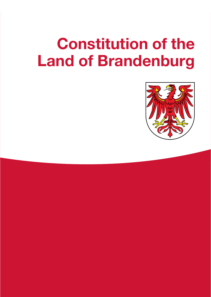# **Constitution of the Land of Brandenburg**

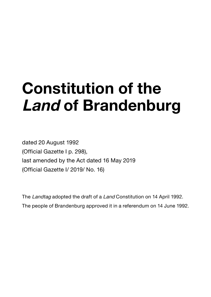# **Constitution of the Land of Brandenburg**

dated 20 August 1992 (Official Gazette I p. 298), last amended by the Act dated 16 May 2019 (Official Gazette I/ 2019/ No. 16)

The Landtag adopted the draft of a Land Constitution on 14 April 1992. The people of Brandenburg approved it in a referendum on 14 June 1992.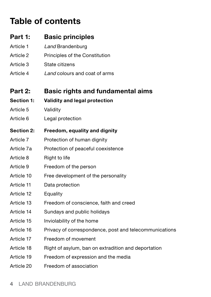# **Table of contents**

| Part 1:    | <b>Basic principles</b>                                |
|------------|--------------------------------------------------------|
| Article 1  | Land Brandenburg                                       |
| Article 2  | Principles of the Constitution                         |
| Article 3  | State citizens                                         |
| Article 4  | Land colours and coat of arms                          |
|            |                                                        |
| Part 2:    | <b>Basic rights and fundamental aims</b>               |
| Section 1: | Validity and legal protection                          |
| Article 5  | Validity                                               |
| Article 6  | Legal protection                                       |
| Section 2: | Freedom, equality and dignity                          |
| Article 7  | Protection of human dignity                            |
| Article 7a | Protection of peaceful coexistence                     |
| Article 8  | Right to life                                          |
| Article 9  | Freedom of the person                                  |
| Article 10 | Free development of the personality                    |
| Article 11 | Data protection                                        |
| Article 12 | Equality                                               |
| Article 13 | Freedom of conscience, faith and creed                 |
| Article 14 | Sundays and public holidays                            |
| Article 15 | Inviolability of the home                              |
| Article 16 | Privacy of correspondence, post and telecommunications |
| Article 17 | Freedom of movement                                    |
| Article 18 | Right of asylum, ban on extradition and deportation    |
| Article 19 | Freedom of expression and the media                    |
| Article 20 | Freedom of association                                 |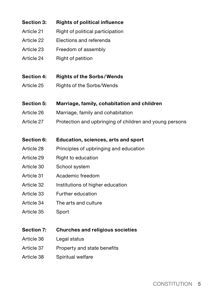| <b>Section 3:</b> | <b>Rights of political influence</b>                    |  |  |
|-------------------|---------------------------------------------------------|--|--|
| Article 21        | Right of political participation                        |  |  |
| Article 22        | Elections and referenda                                 |  |  |
| Article 23        | Freedom of assembly                                     |  |  |
| Article 24        | Right of petition                                       |  |  |
| Section 4:        | <b>Rights of the Sorbs/Wends</b>                        |  |  |
| Article 25        | Rights of the Sorbs/Wends                               |  |  |
| Section 5:        | Marriage, family, cohabitation and children             |  |  |
| Article 26        | Marriage, family and cohabitation                       |  |  |
| Article 27        | Protection and upbringing of children and young persons |  |  |
| Section 6:        | Education, sciences, arts and sport                     |  |  |
| Article 28        | Principles of upbringing and education                  |  |  |
| Article 29        | Right to education                                      |  |  |
| Article 30        | School system                                           |  |  |
| Article 31        | Academic freedom                                        |  |  |
| Article 32        | Institutions of higher education                        |  |  |
| Article 33        | Further education                                       |  |  |
| Article 34        | The arts and culture                                    |  |  |
| Article 35        | Sport                                                   |  |  |
| <b>Section 7:</b> | <b>Churches and religious societies</b>                 |  |  |
| Article 36        | Legal status                                            |  |  |
| Article 37        | Property and state benefits                             |  |  |
| Article 38        | Spiritual welfare                                       |  |  |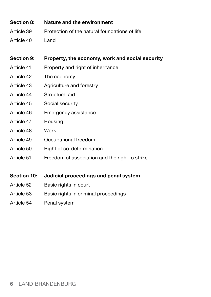- **Section 8: Nature and the environment** Article 39 Protection of the natural foundations of life
- Article 40 Land
- **Section 9: Property, the economy, work and social security**
- Article 41 Property and right of inheritance
- Article 42 The economy
- Article 43 Agriculture and forestry
- Article 44 Structural aid
- Article 45 Social security
- Article 46 Emergency assistance
- Article 47 Housing
- Article 48 Work
- Article 49 Occupational freedom
- Article 50 Right of co-determination
- Article 51 Freedom of association and the right to strike
- **Section 10: Judicial proceedings and penal system**
- Article 52 Basic rights in court
- Article 53 Basic rights in criminal proceedings
- Article 54 Penal system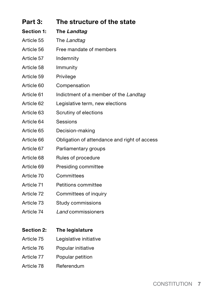| The structure of the state<br>Part 3: |                                              |
|---------------------------------------|----------------------------------------------|
| Section 1:                            | The Landtag                                  |
| Article 55                            | The Landtag                                  |
| Article 56                            | Free mandate of members                      |
| Article 57                            | Indemnity                                    |
| Article 58                            | Immunity                                     |
| Article 59                            | Privilege                                    |
| Article 60                            | Compensation                                 |
| Article 61                            | Indictment of a member of the Landtag        |
| Article 62                            | Legislative term, new elections              |
| Article 63                            | Scrutiny of elections                        |
| Article 64                            | Sessions                                     |
| Article 65                            | Decision-making                              |
| Article 66                            | Obligation of attendance and right of access |
| Article 67                            | Parliamentary groups                         |
| Article 68                            | Rules of procedure                           |
| Article 69                            | Presiding committee                          |
| Article 70                            | Committees                                   |
| Article 71                            | Petitions committee                          |
| Article 72                            | Committees of inquiry                        |
| Article 73                            | Study commissions                            |
| Article 74                            | Land commissioners                           |
|                                       |                                              |
| Section 2:                            | The legislature                              |
| Article 75                            | Legislative initiative                       |
| Article 76                            | Popular initiative                           |

- 
- Article 77 Popular petition
- Article 78 Referendum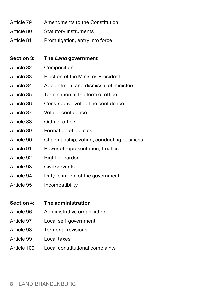- Article 79 Amendments to the Constitution
- Article 80 Statutory instruments
- Article 81 Promulgation, entry into force

#### **Section 3: The Land government**

- Article 82 Composition
- Article 83 Election of the Minister-President
- Article 84 Appointment and dismissal of ministers
- Article 85 Termination of the term of office
- Article 86 Constructive vote of no confidence
- Article 87 Vote of confidence
- Article 88 Oath of office
- Article 89 Formation of policies
- Article 90 Chairmanship, voting, conducting business
- Article 91 Power of representation, treaties
- Article 92 Right of pardon
- Article 93 Civil servants
- Article 94 Duty to inform of the government
- Article 95 Incompatibility

#### **Section 4: The administration**

- Article 96 Administrative organisation
- Article 97 Local self-government
- Article 98 Territorial revisions
- Article 99 Local taxes
- Article 100 Local constitutional complaints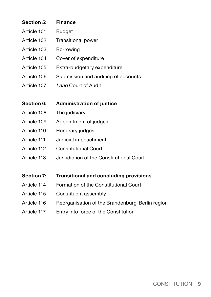# **Section 5: Finance**  Article 101 Budget Article 102 Transitional power Article 103 Borrowing Article 104 Cover of expenditure Article 105 Extra-budgetary expenditure Article 106 Submission and auditing of accounts Article 107 Land Court of Audit **Section 6: Administration of justice** Article 108 The judiciary Article 109 Appointment of judges Article 110 Honorary judges Article 111 Judicial impeachment Article 112 Constitutional Court Article 113 Jurisdiction of the Constitutional Court **Section 7: Transitional and concluding provisions**

- Article 114 Formation of the Constitutional Court
- Article 115 Constituent assembly
- Article 116 Reorganisation of the Brandenburg-Berlin region
- Article 117 Entry into force of the Constitution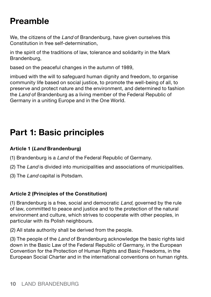# **Preamble**

We, the citizens of the Land of Brandenburg, have given ourselves this Constitution in free self-determination,

in the spirit of the traditions of law, tolerance and solidarity in the Mark Brandenburg,

based on the peaceful changes in the autumn of 1989,

imbued with the will to safeguard human dignity and freedom, to organise community life based on social justice, to promote the well-being of all, to preserve and protect nature and the environment, and determined to fashion the Land of Brandenburg as a living member of the Federal Republic of Germany in a uniting Europe and in the One World.

# **Part 1: Basic principles**

#### **Article 1 (Land Brandenburg)**

- (1) Brandenburg is a Land of the Federal Republic of Germany.
- (2) The Land is divided into municipalities and associations of municipalities.
- (3) The Land capital is Potsdam.

#### **Article 2 (Principles of the Constitution)**

(1) Brandenburg is a free, social and democratic Land, governed by the rule of law, committed to peace and justice and to the protection of the natural environment and culture, which strives to cooperate with other peoples, in particular with its Polish neighbours.

(2) All state authority shall be derived from the people.

(3) The people of the Land of Brandenburg acknowledge the basic rights laid down in the Basic Law of the Federal Republic of Germany, in the European Convention for the Protection of Human Rights and Basic Freedoms, in the European Social Charter and in the international conventions on human rights.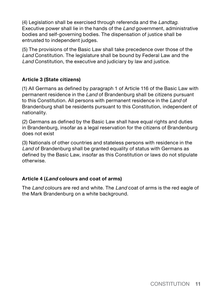(4) Legislation shall be exercised through referenda and the Landtag. Executive power shall lie in the hands of the Land government, administrative bodies and self-governing bodies. The dispensation of justice shall be entrusted to independent judges.

(5) The provisions of the Basic Law shall take precedence over those of the Land Constitution. The legislature shall be bound by Federal Law and the Land Constitution, the executive and judiciary by law and justice.

#### **Article 3 (State citizens)**

(1) All Germans as defined by paragraph 1 of Article 116 of the Basic Law with permanent residence in the Land of Brandenburg shall be citizens pursuant to this Constitution. All persons with permanent residence in the Land of Brandenburg shall be residents pursuant to this Constitution, independent of nationality.

(2) Germans as defined by the Basic Law shall have equal rights and duties in Brandenburg, insofar as a legal reservation for the citizens of Brandenburg does not exist

(3) Nationals of other countries and stateless persons with residence in the Land of Brandenburg shall be granted equality of status with Germans as defined by the Basic Law, insofar as this Constitution or laws do not stipulate otherwise.

#### **Article 4 (Land colours and coat of arms)**

The Land colours are red and white. The Land coat of arms is the red eagle of the Mark Brandenburg on a white background.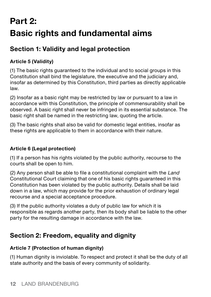# **Part 2: Basic rights and fundamental aims**

# **Section 1: Validity and legal protection**

### **Article 5 (Validity)**

(1) The basic rights guaranteed to the individual and to social groups in this Constitution shall bind the legislature, the executive and the judiciary and, insofar as determined by this Constitution, third parties as directly applicable law.

(2) Insofar as a basic right may be restricted by law or pursuant to a law in accordance with this Constitution, the principle of commensurability shall be observed. A basic right shall never be infringed in its essential substance. The basic right shall be named in the restricting law, quoting the article.

(3) The basic rights shall also be valid for domestic legal entities, insofar as these rights are applicable to them in accordance with their nature.

#### **Article 6 (Legal protection)**

(1) If a person has his rights violated by the public authority, recourse to the courts shall be open to him.

(2) Any person shall be able to file a constitutional complaint with the Land Constitutional Court claiming that one of his basic rights guaranteed in this Constitution has been violated by the public authority. Details shall be laid down in a law, which may provide for the prior exhaustion of ordinary legal recourse and a special acceptance procedure.

(3) If the public authority violates a duty of public law for which it is responsible as regards another party, then its body shall be liable to the other party for the resulting damage in accordance with the law.

# **Section 2: Freedom, equality and dignity**

#### **Article 7 (Protection of human dignity)**

(1) Human dignity is inviolable. To respect and protect it shall be the duty of all state authority and the basis of every community of solidarity.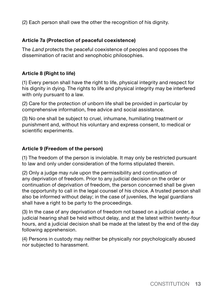(2) Each person shall owe the other the recognition of his dignity.

#### **Article 7a (Protection of peaceful coexistence)**

The Land protects the peaceful coexistence of peoples and opposes the dissemination of racist and xenophobic philosophies.

#### **Article 8 (Right to life)**

(1) Every person shall have the right to life, physical integrity and respect for his dignity in dying. The rights to life and physical integrity may be interfered with only pursuant to a law.

(2) Care for the protection of unborn life shall be provided in particular by comprehensive information, free advice and social assistance.

(3) No one shall be subject to cruel, inhumane, humiliating treatment or punishment and, without his voluntary and express consent, to medical or scientific experiments.

#### **Article 9 (Freedom of the person)**

(1) The freedom of the person is inviolable. It may only be restricted pursuant to law and only under consideration of the forms stipulated therein.

(2) Only a judge may rule upon the permissibility and continuation of any deprivation of freedom. Prior to any judicial decision on the order or continuation of deprivation of freedom, the person concerned shall be given the opportunity to call in the legal counsel of his choice. A trusted person shall also be informed without delay; in the case of juveniles, the legal guardians shall have a right to be party to the proceedings.

(3) In the case of any deprivation of freedom not based on a judicial order, a judicial hearing shall be held without delay, and at the latest within twenty-four hours, and a judicial decision shall be made at the latest by the end of the day following apprehension.

(4) Persons in custody may neither be physically nor psychologically abused nor subjected to harassment.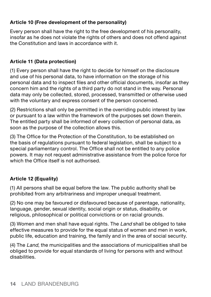#### **Article 10 (Free development of the personality)**

Every person shall have the right to the free development of his personality, insofar as he does not violate the rights of others and does not offend against the Constitution and laws in accordance with it.

#### **Article 11 (Data protection)**

(1) Every person shall have the right to decide for himself on the disclosure and use of his personal data, to have information on the storage of his personal data and to inspect files and other official documents, insofar as they concern him and the rights of a third party do not stand in the way. Personal data may only be collected, stored, processed, transmitted or otherwise used with the voluntary and express consent of the person concerned.

(2) Restrictions shall only be permitted in the overriding public interest by law or pursuant to a law within the framework of the purposes set down therein. The entitled party shall be informed of every collection of personal data, as soon as the purpose of the collection allows this.

(3) The Office for the Protection of the Constitution, to be established on the basis of regulations pursuant to federal legislation, shall be subject to a special parliamentary control. The Office shall not be entitled to any police powers. It may not request administrative assistance from the police force for which the Office itself is not authorised.

#### **Article 12 (Equality)**

(1) All persons shall be equal before the law. The public authority shall be prohibited from any arbitrariness and improper unequal treatment.

(2) No one may be favoured or disfavoured because of parentage, nationality, language, gender, sexual identity, social origin or status, disability, or religious, philosophical or political convictions or on racial grounds.

(3) Women and men shall have equal rights. The Land shall be obliged to take effective measures to provide for the equal status of women and men in work, public life, education and training, the family and in the area of social security.

(4) The Land, the municipalities and the associations of municipalities shall be obliged to provide for equal standards of living for persons with and without disabilities.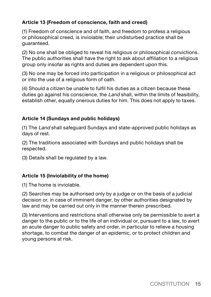#### **Article 13 (Freedom of conscience, faith and creed)**

(1) Freedom of conscience and of faith, and freedom to profess a religious or philosophical creed, is inviolable; their undisturbed practice shall be guaranteed.

(2) No one shall be obliged to reveal his religious or philosophical convictions. The public authorities shall have the right to ask about affiliation to a religious group only insofar as rights and duties are dependent upon this.

(3) No one may be forced into participation in a religious or philosophical act or into the use of a religious form of oath.

(4) Should a citizen be unable to fulfil his duties as a citizen because these duties go against his conscience, the Land shall, within the limits of feasibility, establish other, equally onerous duties for him. This does not apply to taxes.

#### **Article 14 (Sundays and public holidays)**

(1) The Land shall safeguard Sundays and state-approved public holidays as days of rest.

(2) The traditions associated with Sundays and public holidays shall be respected.

(3) Details shall be regulated by a law.

#### **Article 15 (Inviolability of the home)**

(1) The home is inviolable.

(2) Searches may be authorised only by a judge or on the basis of a judicial decision or, in case of imminent danger, by other authorities designated by law and may be carried out only in the manner therein prescribed.

(3) Interventions and restrictions shall otherwise only be permissible to avert a danger to the public or to the life of an individual or, pursuant to a law, to avert an acute danger to public safety and order, in particular to relieve a housing shortage, to combat the danger of an epidemic, or to protect children and young persons at risk.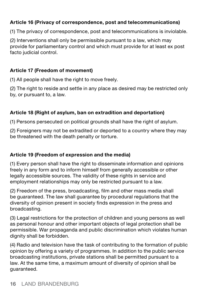#### **Article 16 (Privacy of correspondence, post and telecommunications)**

(1) The privacy of correspondence, post and telecommunications is inviolable.

(2) Interventions shall only be permissible pursuant to a law, which may provide for parliamentary control and which must provide for at least ex post facto judicial control.

#### **Article 17 (Freedom of movement)**

(1) All people shall have the right to move freely.

(2) The right to reside and settle in any place as desired may be restricted only by, or pursuant to, a law.

#### **Article 18 (Right of asylum, ban on extradition and deportation)**

(1) Persons persecuted on political grounds shall have the right of asylum.

(2) Foreigners may not be extradited or deported to a country where they may be threatened with the death penalty or torture.

#### **Article 19 (Freedom of expression and the media)**

(1) Every person shall have the right to disseminate information and opinions freely in any form and to inform himself from generally accessible or other legally accessible sources. The validity of these rights in service and employment relationships may only be restricted pursuant to a law.

(2) Freedom of the press, broadcasting, film and other mass media shall be guaranteed. The law shall guarantee by procedural regulations that the diversity of opinion present in society finds expression in the press and broadcasting.

(3) Legal restrictions for the protection of children and young persons as well as personal honour and other important objects of legal protection shall be permissible. War propaganda and public discrimination which violates human dignity shall be forbidden.

(4) Radio and television have the task of contributing to the formation of public opinion by offering a variety of programmes. In addition to the public service broadcasting institutions, private stations shall be permitted pursuant to a law. At the same time, a maximum amount of diversity of opinion shall be guaranteed.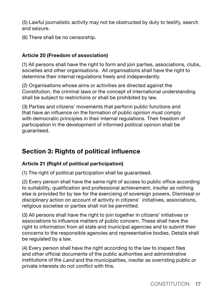(5) Lawful journalistic activity may not be obstructed by duty to testify, search and seizure.

(6) There shall be no censorship.

#### **Article 20 (Freedom of association)**

(1) All persons shall have the right to form and join parties, associations, clubs, societies and other organisations. All organisations shall have the right to determine their internal regulations freely and independently.

(2) Organisations whose aims or activities are directed against the Constitution, the criminal laws or the concept of international understanding shall be subject to restrictions or shall be prohibited by law.

(3) Parties and citizens' movements that perform public functions and that have an influence on the formation of public opinion must comply with democratic principles in their internal regulations. Their freedom of participation in the development of informed political opinion shall be guaranteed.

# **Section 3: Rights of political influence**

#### **Article 21 (Right of political participation)**

(1) The right of political participation shall be guaranteed.

(2) Every person shall have the same right of access to public office according to suitability, qualification and professional achievement, insofar as nothing else is provided for by law for the exercising of sovereign powers. Dismissal or disciplinary action on account of activity in citizens' initiatives, associations, religious societies or parties shall not be permitted.

(3) All persons shall have the right to join together in citizens' initiatives or associations to influence matters of public concern. These shall have the right to information from all state and municipal agencies and to submit their concerns to the responsible agencies and representative bodies. Details shall be regulated by a law.

(4) Every person shall have the right according to the law to inspect files and other official documents of the public authorities and administrative institutions of the Land and the municipalities, insofar as overriding public or private interests do not conflict with this.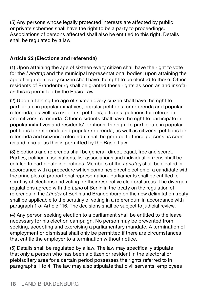(5) Any persons whose legally protected interests are affected by public or private schemes shall have the right to be a party to proceedings. Associations of persons affected shall also be entitled to this right. Details shall be regulated by a law.

#### **Article 22 (Elections and referenda)**

(1) Upon attaining the age of sixteen every citizen shall have the right to vote for the *Landtag* and the municipal representational bodies; upon attaining the age of eighteen every citizen shall have the right to be elected to these. Other residents of Brandenburg shall be granted these rights as soon as and insofar as this is permitted by the Basic Law.

(2) Upon attaining the age of sixteen every citizen shall have the right to participate in popular initiatives, popular petitions for referenda and popular referenda, as well as residents' petitions, citizens' petitions for referenda and citizens' referenda. Other residents shall have the right to participate in popular initiatives and residents' petitions; the right to participate in popular petitions for referenda and popular referenda, as well as citizens' petitions for referenda and citizens' referenda, shall be granted to these persons as soon as and insofar as this is permitted by the Basic Law.

(3) Elections and referenda shall be general, direct, equal, free and secret. Parties, political associations, list associations and individual citizens shall be entitled to participate in elections. Members of the Landtag shall be elected in accordance with a procedure which combines direct election of a candidate with the principles of proportional representation. Parliaments shall be entitled to scrutiny of elections and voting for their respective electoral areas. The divergent regulations agreed with the Land of Berlin in the treaty on the regulation of referenda in the Länder of Berlin and Brandenburg on the new delimitation treaty shall be applicable to the scrutiny of voting in a referendum in accordance with paragraph 1 of Article 116. The decisions shall be subject to judicial review.

(4) Any person seeking election to a parliament shall be entitled to the leave necessary for his election campaign. No person may be prevented from seeking, accepting and exercising a parliamentary mandate. A termination of employment or dismissal shall only be permitted if there are circumstances that entitle the employer to a termination without notice.

(5) Details shall be regulated by a law. The law may specifically stipulate that only a person who has been a citizen or resident in the electoral or plebiscitary area for a certain period possesses the rights referred to in paragraphs 1 to 4. The law may also stipulate that civil servants, employees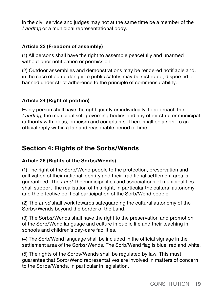in the civil service and judges may not at the same time be a member of the Landtag or a municipal representational body.

#### **Article 23 (Freedom of assembly)**

(1) All persons shall have the right to assemble peacefully and unarmed without prior notification or permission.

(2) Outdoor assemblies and demonstrations may be rendered notifiable and, in the case of acute danger to public safety, may be restricted, dispersed or banned under strict adherence to the principle of commensurability.

#### **Article 24 (Right of petition)**

Every person shall have the right, jointly or individually, to approach the Landtag, the municipal self-governing bodies and any other state or municipal authority with ideas, criticism and complaints. There shall be a right to an official reply within a fair and reasonable period of time.

# **Section 4: Rights of the Sorbs/Wends**

#### **Article 25 (Rights of the Sorbs/Wends)**

(1) The right of the Sorb/Wend people to the protection, preservation and cultivation of their national identity and their traditional settlement area is guaranteed. The Land, the municipalities and associations of municipalities shall support the realisation of this right, in particular the cultural autonomy and the effective political participation of the Sorb/Wend people.

(2) The Land shall work towards safeguarding the cultural autonomy of the Sorbs/Wends beyond the border of the Land.

(3) The Sorbs/Wends shall have the right to the preservation and promotion of the Sorb/Wend language and culture in public life and their teaching in schools and children's day-care facilities.

(4) The Sorb/Wend language shall be included in the official signage in the settlement area of the Sorbs/Wends. The Sorb/Wend flag is blue, red and white.

(5) The rights of the Sorbs/Wends shall be regulated by law. This must guarantee that Sorb/Wend representatives are involved in matters of concern to the Sorbs/Wends, in particular in legislation.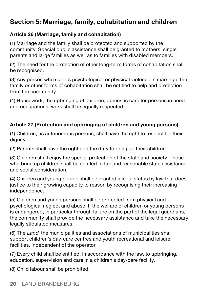# **Section 5: Marriage, family, cohabitation and children**

#### **Article 26 (Marriage, family and cohabitation)**

(1) Marriage and the family shall be protected and supported by the community. Special public assistance shall be granted to mothers, single parents and large families as well as to families with disabled members.

(2) The need for the protection of other long-term forms of cohabitation shall be recognised.

(3) Any person who suffers psychological or physical violence in marriage, the family or other forms of cohabitation shall be entitled to help and protection from the community.

(4) Housework, the upbringing of children, domestic care for persons in need and occupational work shall be equally respected.

#### **Article 27 (Protection and upbringing of children and young persons)**

(1) Children, as autonomous persons, shall have the right to respect for their dianity.

(2) Parents shall have the right and the duty to bring up their children.

(3) Children shall enjoy the special protection of the state and society. Those who bring up children shall be entitled to fair and reasonable state assistance and social consideration.

(4) Children and young people shall be granted a legal status by law that does justice to their growing capacity to reason by recognising their increasing independence.

(5) Children and young persons shall be protected from physical and psychological neglect and abuse. If the welfare of children or young persons is endangered, in particular through failure on the part of the legal guardians, the community shall provide the necessary assistance and take the necessary legally stipulated measures.

(6) The Land, the municipalities and associations of municipalities shall support children's day-care centres and youth recreational and leisure facilities, independent of the operator.

(7) Every child shall be entitled, in accordance with the law, to upbringing, education, supervision and care in a children's day-care facility.

(8) Child labour shall be prohibited.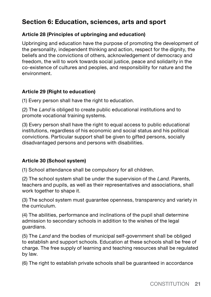# **Section 6: Education, sciences, arts and sport**

#### **Article 28 (Principles of upbringing and education)**

Upbringing and education have the purpose of promoting the development of the personality, independent thinking and action, respect for the dignity, the beliefs and the convictions of others, acknowledgement of democracy and freedom, the will to work towards social justice, peace and solidarity in the co-existence of cultures and peoples, and responsibility for nature and the environment.

#### **Article 29 (Right to education)**

(1) Every person shall have the right to education.

(2) The Land is obliged to create public educational institutions and to promote vocational training systems.

(3) Every person shall have the right to equal access to public educational institutions, regardless of his economic and social status and his political convictions. Particular support shall be given to gifted persons, socially disadvantaged persons and persons with disabilities.

#### **Article 30 (School system)**

(1) School attendance shall be compulsory for all children.

(2) The school system shall be under the supervision of the Land. Parents, teachers and pupils, as well as their representatives and associations, shall work together to shape it.

(3) The school system must guarantee openness, transparency and variety in the curriculum.

(4) The abilities, performance and inclinations of the pupil shall determine admission to secondary schools in addition to the wishes of the legal guardians.

(5) The Land and the bodies of municipal self-government shall be obliged to establish and support schools. Education at these schools shall be free of charge. The free supply of learning and teaching resources shall be regulated by law.

(6) The right to establish private schools shall be guaranteed in accordance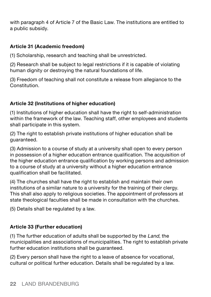with paragraph 4 of Article 7 of the Basic Law. The institutions are entitled to a public subsidy.

#### **Article 31 (Academic freedom)**

(1) Scholarship, research and teaching shall be unrestricted.

(2) Research shall be subject to legal restrictions if it is capable of violating human dignity or destroying the natural foundations of life.

(3) Freedom of teaching shall not constitute a release from allegiance to the Constitution.

#### **Article 32 (Institutions of higher education)**

(1) Institutions of higher education shall have the right to self-administration within the framework of the law. Teaching staff, other employees and students shall participate in this system.

(2) The right to establish private institutions of higher education shall be guaranteed.

(3) Admission to a course of study at a university shall open to every person in possession of a higher education entrance qualification. The acquisition of the higher education entrance qualification by working persons and admission to a course of study at a university without a higher education entrance qualification shall be facilitated.

(4) The churches shall have the right to establish and maintain their own institutions of a similar nature to a university for the training of their clergy. This shall also apply to religious societies. The appointment of professors at state theological faculties shall be made in consultation with the churches.

(5) Details shall be regulated by a law.

#### **Article 33 (Further education)**

(1) The further education of adults shall be supported by the  $Land$ , the municipalities and associations of municipalities. The right to establish private further education institutions shall be guaranteed.

(2) Every person shall have the right to a leave of absence for vocational, cultural or political further education. Details shall be regulated by a law.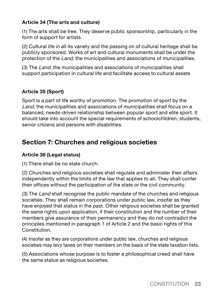#### **Article 34 (The arts and culture)**

(1) The arts shall be free. They deserve public sponsorship, particularly in the form of support for artists.

(2) Cultural life in all its variety and the passing on of cultural heritage shall be publicly sponsored. Works of art and cultural monuments shall be under the protection of the Land, the municipalities and associations of municipalities.

(3) The Land, the municipalities and associations of municipalities shall support participation in cultural life and facilitate access to cultural assets

#### **Article 35 (Sport)**

Sport is a part of life worthy of promotion. The promotion of sport by the Land, the municipalities and associations of municipalities shall focus on a balanced, needs-driven relationship between popular sport and elite sport. It should take into account the special requirements of schoolchildren, students, senior citizens and persons with disabilities.

# **Section 7: Churches and religious societies**

#### **Article 36 (Legal status)**

(1) There shall be no state church.

(2) Churches and religious societies shall regulate and administer their affairs independently within the limits of the law that applies to all. They shall confer their offices without the participation of the state or the civil community.

(3) The Land shall recognise the public mandate of the churches and religious societies. They shall remain corporations under public law, insofar as they have enjoyed that status in the past. Other religious societies shall be granted the same rights upon application, if their constitution and the number of their members give assurance of their permanency and they do not contradict the principles mentioned in paragraph 1 of Article 2 and the basic rights of this Constitution.

(4) Insofar as they are corporations under public law, churches and religious societies may levy taxes on their members on the basis of the state taxation lists.

(5) Associations whose purpose is to foster a philosophical creed shall have the same status as religious societies.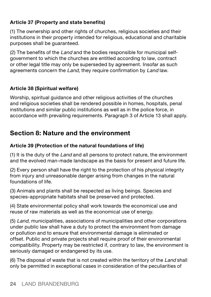#### **Article 37 (Property and state benefits)**

(1) The ownership and other rights of churches, religious societies and their institutions in their property intended for religious, educational and charitable purposes shall be guaranteed.

(2) The benefits of the Land and the bodies responsible for municipal selfgovernment to which the churches are entitled according to law, contract or other legal title may only be superseded by agreement. Insofar as such agreements concern the Land, they require confirmation by Land law.

#### **Article 38 (Spiritual welfare)**

Worship, spiritual guidance and other religious activities of the churches and religious societies shall be rendered possible in homes, hospitals, penal institutions and similar public institutions as well as in the police force, in accordance with prevailing requirements. Paragraph 3 of Article 13 shall apply.

# **Section 8: Nature and the environment**

#### **Article 39 (Protection of the natural foundations of life)**

(1) It is the duty of the Land and all persons to protect nature, the environment and the evolved man-made landscape as the basis for present and future life.

(2) Every person shall have the right to the protection of his physical integrity from injury and unreasonable danger arising from changes in the natural foundations of life.

(3) Animals and plants shall be respected as living beings. Species and species-appropriate habitats shall be preserved and protected.

(4) State environmental policy shall work towards the economical use and reuse of raw materials as well as the economical use of energy.

(5) Land, municipalities, associations of municipalities and other corporations under public law shall have a duty to protect the environment from damage or pollution and to ensure that environmental damage is eliminated or offset. Public and private projects shall require proof of their environmental compatibility. Property may be restricted if, contrary to law, the environment is seriously damaged or endangered by its use.

(6) The disposal of waste that is not created within the territory of the Land shall only be permitted in exceptional cases in consideration of the peculiarities of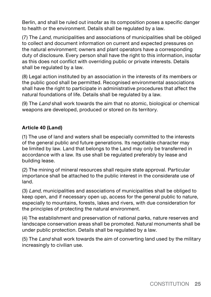Berlin, and shall be ruled out insofar as its composition poses a specific danger to health or the environment. Details shall be regulated by a law.

(7) The Land, municipalities and associations of municipalities shall be obliged to collect and document information on current and expected pressures on the natural environment; owners and plant operators have a corresponding duty of disclosure. Every person shall have the right to this information, insofar as this does not conflict with overriding public or private interests. Details shall be regulated by a law.

(8) Legal action instituted by an association in the interests of its members or the public good shall be permitted. Recognised environmental associations shall have the right to participate in administrative procedures that affect the natural foundations of life. Details shall be regulated by a law.

(9) The Land shall work towards the aim that no atomic, biological or chemical weapons are developed, produced or stored on its territory.

#### **Article 40 (Land)**

(1) The use of land and waters shall be especially committed to the interests of the general public and future generations. Its negotiable character may be limited by law. Land that belongs to the Land may only be transferred in accordance with a law. Its use shall be regulated preferably by lease and building lease.

(2) The mining of mineral resources shall require state approval. Particular importance shall be attached to the public interest in the considerate use of land.

(3) Land, municipalities and associations of municipalities shall be obliged to keep open, and if necessary open up, access for the general public to nature, especially to mountains, forests, lakes and rivers, with due consideration for the principles of protecting the natural environment.

(4) The establishment and preservation of national parks, nature reserves and landscape conservation areas shall be promoted. Natural monuments shall be under public protection. Details shall be regulated by a law.

(5) The Land shall work towards the aim of converting land used by the military increasingly to civilian use.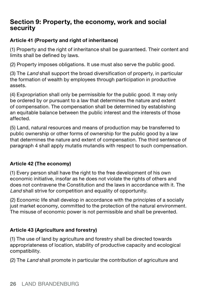### **Section 9: Property, the economy, work and social security**

#### **Article 41 (Property and right of inheritance)**

(1) Property and the right of inheritance shall be guaranteed. Their content and limits shall be defined by laws.

(2) Property imposes obligations. It use must also serve the public good.

(3) The Land shall support the broad diversification of property, in particular the formation of wealth by employees through participation in productive assets.

(4) Expropriation shall only be permissible for the public good. It may only be ordered by or pursuant to a law that determines the nature and extent of compensation. The compensation shall be determined by establishing an equitable balance between the public interest and the interests of those affected.

(5) Land, natural resources and means of production may be transferred to public ownership or other forms of ownership for the public good by a law that determines the nature and extent of compensation. The third sentence of paragraph 4 shall apply mutatis mutandis with respect to such compensation.

#### **Article 42 (The economy)**

(1) Every person shall have the right to the free development of his own economic initiative, insofar as he does not violate the rights of others and does not contravene the Constitution and the laws in accordance with it. The Land shall strive for competition and equality of opportunity.

(2) Economic life shall develop in accordance with the principles of a socially just market economy, committed to the protection of the natural environment. The misuse of economic power is not permissible and shall be prevented.

#### **Article 43 (Agriculture and forestry)**

(1) The use of land by agriculture and forestry shall be directed towards appropriateness of location, stability of productive capacity and ecological compatibility.

(2) The Land shall promote in particular the contribution of agriculture and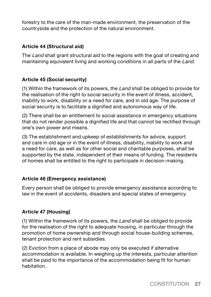forestry to the care of the man-made environment, the preservation of the countryside and the protection of the natural environment.

#### **Article 44 (Structural aid)**

The Land shall grant structural aid to the regions with the goal of creating and maintaining equivalent living and working conditions in all parts of the Land.

#### **Article 45 (Social security)**

(1) Within the framework of its powers, the Land shall be obliged to provide for the realisation of the right to social security in the event of illness, accident, inability to work, disability or a need for care, and in old age. The purpose of social security is to facilitate a dignified and autonomous way of life.

(2) There shall be an entitlement to social assistance in emergency situations that do not render possible a dignified life and that cannot be rectified through one's own power and means.

(3) The establishment and upkeep of establishments for advice, support and care in old age or in the event of illness, disability, inability to work and a need for care, as well as for other social and charitable purposes, shall be supported by the state, independent of their means of funding. The residents of homes shall be entitled to the right to participate in decision-making.

#### **Article 46 (Emergency assistance)**

Every person shall be obliged to provide emergency assistance according to law in the event of accidents, disasters and special states of emergency.

#### **Article 47 (Housing)**

(1) Within the framework of its powers, the Land shall be obliged to provide for the realisation of the right to adequate housing, in particular through the promotion of home ownership and through social house-building schemes, tenant protection and rent subsidies.

(2) Eviction from a place of abode may only be executed if alternative accommodation is available. In weighing up the interests, particular attention shall be paid to the importance of the accommodation being fit for human habitation.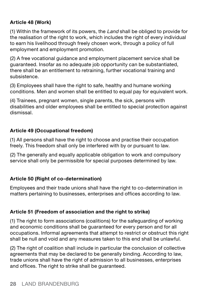#### **Article 48 (Work)**

(1) Within the framework of its powers, the Land shall be obliged to provide for the realisation of the right to work, which includes the right of every individual to earn his livelihood through freely chosen work, through a policy of full employment and employment promotion.

(2) A free vocational guidance and employment placement service shall be guaranteed. Insofar as no adequate job opportunity can be substantiated, there shall be an entitlement to retraining, further vocational training and subsistence.

(3) Employees shall have the right to safe, healthy and humane working conditions. Men and women shall be entitled to equal pay for equivalent work.

(4) Trainees, pregnant women, single parents, the sick, persons with disabilities and older employees shall be entitled to special protection against dismissal.

#### **Article 49 (Occupational freedom)**

(1) All persons shall have the right to choose and practise their occupation freely. This freedom shall only be interfered with by or pursuant to law.

(2) The generally and equally applicable obligation to work and compulsory service shall only be permissible for special purposes determined by law.

#### **Article 50 (Right of co-determination)**

Employees and their trade unions shall have the right to co-determination in matters pertaining to businesses, enterprises and offices according to law.

#### **Article 51 (Freedom of association and the right to strike)**

(1) The right to form associations (coalitions) for the safeguarding of working and economic conditions shall be guaranteed for every person and for all occupations. Informal agreements that attempt to restrict or obstruct this right shall be null and void and any measures taken to this end shall be unlawful.

(2) The right of coalition shall include in particular the conclusion of collective agreements that may be declared to be generally binding. According to law, trade unions shall have the right of admission to all businesses, enterprises and offices. The right to strike shall be guaranteed.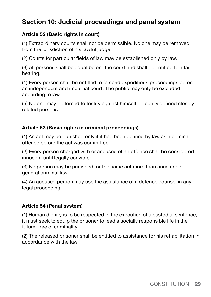# **Section 10: Judicial proceedings and penal system**

#### **Article 52 (Basic rights in court)**

(1) Extraordinary courts shall not be permissible. No one may be removed from the jurisdiction of his lawful judge.

(2) Courts for particular fields of law may be established only by law.

(3) All persons shall be equal before the court and shall be entitled to a fair hearing.

(4) Every person shall be entitled to fair and expeditious proceedings before an independent and impartial court. The public may only be excluded according to law.

(5) No one may be forced to testify against himself or legally defined closely related persons.

#### **Article 53 (Basic rights in criminal proceedings)**

(1) An act may be punished only if it had been defined by law as a criminal offence before the act was committed.

(2) Every person charged with or accused of an offence shall be considered innocent until legally convicted.

(3) No person may be punished for the same act more than once under general criminal law.

(4) An accused person may use the assistance of a defence counsel in any legal proceeding.

#### **Article 54 (Penal system)**

(1) Human dignity is to be respected in the execution of a custodial sentence; it must seek to equip the prisoner to lead a socially responsible life in the future, free of criminality.

(2) The released prisoner shall be entitled to assistance for his rehabilitation in accordance with the law.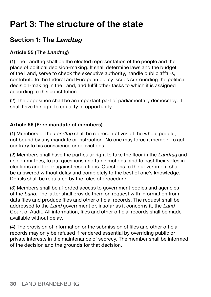# **Part 3: The structure of the state**

# **Section 1: The Landtag**

#### **Article 55 (The Landtag)**

(1) The Landtag shall be the elected representation of the people and the place of political decision-making. It shall determine laws and the budget of the Land, serve to check the executive authority, handle public affairs, contribute to the federal and European policy issues surrounding the political decision-making in the Land, and fulfil other tasks to which it is assigned according to this constitution.

(2) The opposition shall be an important part of parliamentary democracy. It shall have the right to equality of opportunity.

#### **Article 56 (Free mandate of members)**

(1) Members of the Landtag shall be representatives of the whole people, not bound by any mandate or instruction. No one may force a member to act contrary to his conscience or convictions.

(2) Members shall have the particular right to take the floor in the Landtag and its committees, to put questions and table motions, and to cast their votes in elections and for or against resolutions. Questions to the government shall be answered without delay and completely to the best of one's knowledge. Details shall be regulated by the rules of procedure.

(3) Members shall be afforded access to government bodies and agencies of the Land. The latter shall provide them on request with information from data files and produce files and other official records. The request shall be addressed to the Land government or, insofar as it concerns it, the Land Court of Audit. All information, files and other official records shall be made available without delay.

(4) The provision of information or the submission of files and other official records may only be refused if rendered essential by overriding public or private interests in the maintenance of secrecy. The member shall be informed of the decision and the grounds for that decision.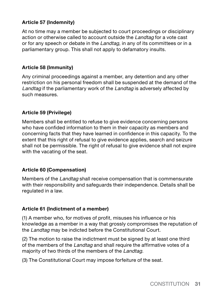#### **Article 57 (Indemnity)**

At no time may a member be subjected to court proceedings or disciplinary action or otherwise called to account outside the Landtag for a vote cast or for any speech or debate in the Landtag, in any of its committees or in a parliamentary group. This shall not apply to defamatory insults.

#### **Article 58 (Immunity)**

Any criminal proceedings against a member, any detention and any other restriction on his personal freedom shall be suspended at the demand of the Landtag if the parliamentary work of the Landtag is adversely affected by such measures.

#### **Article 59 (Privilege)**

Members shall be entitled to refuse to give evidence concerning persons who have confided information to them in their capacity as members and concerning facts that they have learned in confidence in this capacity. To the extent that this right of refusal to give evidence applies, search and seizure shall not be permissible. The right of refusal to give evidence shall not expire with the vacating of the seat.

#### **Article 60 (Compensation)**

Members of the Landtag shall receive compensation that is commensurate with their responsibility and safeguards their independence. Details shall be regulated in a law.

#### **Article 61 (Indictment of a member)**

(1) A member who, for motives of profit, misuses his influence or his knowledge as a member in a way that grossly compromises the reputation of the Landtag may be indicted before the Constitutional Court.

(2) The motion to raise the indictment must be signed by at least one third of the members of the Landtag and shall require the affirmative votes of a majority of two thirds of the members of the Landtag.

(3) The Constitutional Court may impose forfeiture of the seat.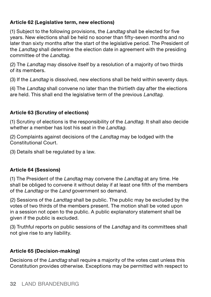#### **Article 62 (Legislative term, new elections)**

(1) Subject to the following provisions, the Landtag shall be elected for five years. New elections shall be held no sooner than fifty-seven months and no later than sixty months after the start of the legislative period. The President of the Landtag shall determine the election date in agreement with the presiding committee of the Landtag.

(2) The Landtag may dissolve itself by a resolution of a majority of two thirds of its members.

(3) If the Landtag is dissolved, new elections shall be held within seventy days.

(4) The Landtag shall convene no later than the thirtieth day after the elections are held. This shall end the legislative term of the previous Landtag.

#### **Article 63 (Scrutiny of elections)**

(1) Scrutiny of elections is the responsibility of the Landtag. It shall also decide whether a member has lost his seat in the Landtag.

(2) Complaints against decisions of the Landtag may be lodged with the Constitutional Court.

(3) Details shall be regulated by a law.

#### **Article 64 (Sessions)**

(1) The President of the Landtag may convene the Landtag at any time. He shall be obliged to convene it without delay if at least one fifth of the members of the Landtag or the Land government so demand.

(2) Sessions of the Landtag shall be public. The public may be excluded by the votes of two thirds of the members present. The motion shall be voted upon in a session not open to the public. A public explanatory statement shall be given if the public is excluded.

(3) Truthful reports on public sessions of the Landtag and its committees shall not give rise to any liability.

#### **Article 65 (Decision-making)**

Decisions of the Landtag shall require a majority of the votes cast unless this Constitution provides otherwise. Exceptions may be permitted with respect to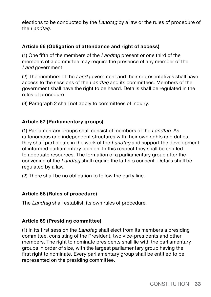elections to be conducted by the Landtag by a law or the rules of procedure of the Landtag.

#### **Article 66 (Obligation of attendance and right of access)**

(1) One fifth of the members of the Landtag present or one third of the members of a committee may require the presence of any member of the Land government.

(2) The members of the Land government and their representatives shall have access to the sessions of the Landtag and its committees. Members of the government shall have the right to be heard. Details shall be regulated in the rules of procedure.

(3) Paragraph 2 shall not apply to committees of inquiry.

#### **Article 67 (Parliamentary groups)**

(1) Parliamentary groups shall consist of members of the Landtag. As autonomous and independent structures with their own rights and duties, they shall participate in the work of the Landtag and support the development of informed parliamentary opinion. In this respect they shall be entitled to adequate resources. The formation of a parliamentary group after the convening of the Landtag shall require the latter's consent. Details shall be regulated by a law.

(2) There shall be no obligation to follow the party line.

#### **Article 68 (Rules of procedure)**

The Landtag shall establish its own rules of procedure.

#### **Article 69 (Presiding committee)**

(1) In its first session the Landtag shall elect from its members a presiding committee, consisting of the President, two vice-presidents and other members. The right to nominate presidents shall lie with the parliamentary groups in order of size, with the largest parliamentary group having the first right to nominate. Every parliamentary group shall be entitled to be represented on the presiding committee.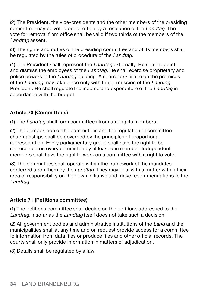(2) The President, the vice-presidents and the other members of the presiding committee may be voted out of office by a resolution of the Landtag. The vote for removal from office shall be valid if two thirds of the members of the Landtag assent.

(3) The rights and duties of the presiding committee and of its members shall be regulated by the rules of procedure of the Landtag.

(4) The President shall represent the Landtag externally. He shall appoint and dismiss the employees of the Landtag. He shall exercise proprietary and police powers in the *Landtag* building. A search or seizure on the premises of the Landtag may take place only with the permission of the Landtag President. He shall regulate the income and expenditure of the Landtag in accordance with the budget.

#### **Article 70 (Committees)**

(1) The Landtag shall form committees from among its members.

(2) The composition of the committees and the regulation of committee chairmanships shall be governed by the principles of proportional representation. Every parliamentary group shall have the right to be represented on every committee by at least one member. Independent members shall have the right to work on a committee with a right to vote.

(3) The committees shall operate within the framework of the mandates conferred upon them by the Landtag. They may deal with a matter within their area of responsibility on their own initiative and make recommendations to the Landtag.

#### **Article 71 (Petitions committee)**

(1) The petitions committee shall decide on the petitions addressed to the Landtag, insofar as the Landtag itself does not take such a decision.

(2) All government bodies and administrative institutions of the Land and the municipalities shall at any time and on request provide access for a committee to information from data files or produce files and other official records. The courts shall only provide information in matters of adjudication.

(3) Details shall be regulated by a law.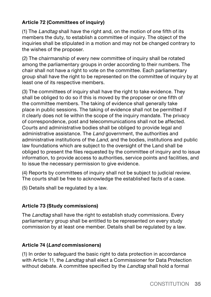#### **Article 72 (Committees of inquiry)**

(1) The Landtag shall have the right and, on the motion of one fifth of its members the duty, to establish a committee of inquiry. The object of the inquiries shall be stipulated in a motion and may not be changed contrary to the wishes of the proposer.

(2) The chairmanship of every new committee of inquiry shall be rotated among the parliamentary groups in order according to their numbers. The chair shall not have a right to vote on the committee. Each parliamentary group shall have the right to be represented on the committee of inquiry by at least one of its respective members.

(3) The committees of inquiry shall have the right to take evidence. They shall be obliged to do so if this is moved by the proposer or one fifth of the committee members. The taking of evidence shall generally take place in public sessions. The taking of evidence shall not be permitted if it clearly does not lie within the scope of the inquiry mandate. The privacy of correspondence, post and telecommunications shall not be affected. Courts and administrative bodies shall be obliged to provide legal and administrative assistance. The Land government, the authorities and administrative institutions of the Land, and the bodies, institutions and public law foundations which are subject to the oversight of the Land shall be obliged to present the files requested by the committee of inquiry and to issue information, to provide access to authorities, service points and facilities, and to issue the necessary permission to give evidence.

(4) Reports by committees of inquiry shall not be subject to judicial review. The courts shall be free to acknowledge the established facts of a case.

(5) Details shall be regulated by a law.

#### **Article 73 (Study commissions)**

The Landtag shall have the right to establish study commissions. Every parliamentary group shall be entitled to be represented on every study commission by at least one member. Details shall be regulated by a law.

#### **Article 74 (Land commissioners)**

(1) In order to safeguard the basic right to data protection in accordance with Article 11, the Landtag shall elect a Commissioner for Data Protection without debate. A committee specified by the *Landtag* shall hold a formal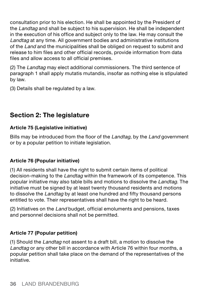consultation prior to his election. He shall be appointed by the President of the *Landtag* and shall be subject to his supervision. He shall be independent in the execution of his office and subject only to the law. He may consult the Landtag at any time. All government bodies and administrative institutions of the Land and the municipalities shall be obliged on request to submit and release to him files and other official records, provide information from data files and allow access to all official premises.

(2) The Landtag may elect additional commissioners. The third sentence of paragraph 1 shall apply mutatis mutandis, insofar as nothing else is stipulated by law.

(3) Details shall be regulated by a law.

# **Section 2: The legislature**

#### **Article 75 (Legislative initiative)**

Bills may be introduced from the floor of the Landtag, by the Land government or by a popular petition to initiate legislation.

#### **Article 76 (Popular initiative)**

(1) All residents shall have the right to submit certain items of political decision-making to the Landtag within the framework of its competence. This popular initiative may also table bills and motions to dissolve the Landtag. The initiative must be signed by at least twenty thousand residents and motions to dissolve the *Landtag* by at least one hundred and fifty thousand persons entitled to vote. Their representatives shall have the right to be heard.

(2) Initiatives on the Land budget, official emoluments and pensions, taxes and personnel decisions shall not be permitted.

#### **Article 77 (Popular petition)**

(1) Should the Landtag not assent to a draft bill, a motion to dissolve the Landtag or any other bill in accordance with Article 76 within four months, a popular petition shall take place on the demand of the representatives of the initiative.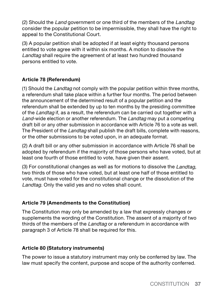(2) Should the Land government or one third of the members of the Landtag consider the popular petition to be impermissible, they shall have the right to appeal to the Constitutional Court.

(3) A popular petition shall be adopted if at least eighty thousand persons entitled to vote agree with it within six months. A motion to dissolve the Landtag shall require the agreement of at least two hundred thousand persons entitled to vote.

#### **Article 78 (Referendum)**

(1) Should the Landtag not comply with the popular petition within three months, a referendum shall take place within a further four months. The period between the announcement of the determined result of a popular petition and the referendum shall be extended by up to ten months by the presiding committee of the Landtag if, as a result, the referendum can be carried out together with a Land-wide election or another referendum. The Landtag may put a competing draft bill or any other submission in accordance with Article 76 to a vote as well. The President of the Landtag shall publish the draft bills, complete with reasons, or the other submissions to be voted upon, in an adequate format.

(2) A draft bill or any other submission in accordance with Article 76 shall be adopted by referendum if the majority of those persons who have voted, but at least one fourth of those entitled to vote, have given their assent.

(3) For constitutional changes as well as for motions to dissolve the Landtag, two thirds of those who have voted, but at least one half of those entitled to vote, must have voted for the constitutional change or the dissolution of the Landtag. Only the valid yes and no votes shall count.

#### **Article 79 (Amendments to the Constitution)**

The Constitution may only be amended by a law that expressly changes or supplements the wording of the Constitution. The assent of a majority of two thirds of the members of the Landtag or a referendum in accordance with paragraph 3 of Article 78 shall be required for this.

#### **Article 80 (Statutory instruments)**

The power to issue a statutory instrument may only be conferred by law. The law must specify the content, purpose and scope of the authority conferred.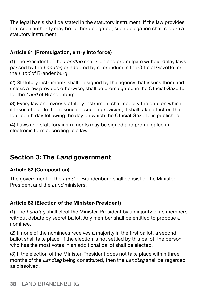The legal basis shall be stated in the statutory instrument. If the law provides that such authority may be further delegated, such delegation shall require a statutory instrument.

#### **Article 81 (Promulgation, entry into force)**

(1) The President of the Landtag shall sign and promulgate without delay laws passed by the Landtag or adopted by referendum in the Official Gazette for the Land of Brandenburg.

(2) Statutory instruments shall be signed by the agency that issues them and, unless a law provides otherwise, shall be promulgated in the Official Gazette for the Land of Brandenburg.

(3) Every law and every statutory instrument shall specify the date on which it takes effect. In the absence of such a provision, it shall take effect on the fourteenth day following the day on which the Official Gazette is published.

(4) Laws and statutory instruments may be signed and promulgated in electronic form according to a law.

# **Section 3: The Land government**

#### **Article 82 (Composition)**

The government of the Land of Brandenburg shall consist of the Minister-President and the Land ministers.

#### **Article 83 (Election of the Minister-President)**

(1) The Landtag shall elect the Minister-President by a majority of its members without debate by secret ballot. Any member shall be entitled to propose a nominee.

(2) If none of the nominees receives a majority in the first ballot, a second ballot shall take place. If the election is not settled by this ballot, the person who has the most votes in an additional ballot shall be elected.

(3) If the election of the Minister-President does not take place within three months of the Landtag being constituted, then the Landtag shall be regarded as dissolved.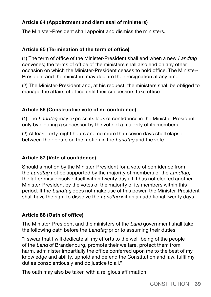#### **Article 84 (Appointment and dismissal of ministers)**

The Minister-President shall appoint and dismiss the ministers.

#### **Article 85 (Termination of the term of office)**

(1) The term of office of the Minister-President shall end when a new Landtag convenes; the terms of office of the ministers shall also end on any other occasion on which the Minister-President ceases to hold office. The Minister-President and the ministers may declare their resignation at any time.

(2) The Minister-President and, at his request, the ministers shall be obliged to manage the affairs of office until their successors take office.

#### **Article 86 (Constructive vote of no confidence)**

(1) The Landtag may express its lack of confidence in the Minister-President only by electing a successor by the vote of a majority of its members.

(2) At least forty-eight hours and no more than seven days shall elapse between the debate on the motion in the Landtag and the vote.

#### **Article 87 (Vote of confidence)**

Should a motion by the Minister-President for a vote of confidence from the Landtag not be supported by the majority of members of the Landtag. the latter may dissolve itself within twenty days if it has not elected another Minister-President by the votes of the majority of its members within this period. If the Landtag does not make use of this power, the Minister-President shall have the right to dissolve the *Landtag* within an additional twenty days.

#### **Article 88 (Oath of office)**

The Minister-President and the ministers of the Land government shall take the following oath before the *Landtag* prior to assuming their duties:

"I swear that I will dedicate all my efforts to the well-being of the people of the Land of Brandenburg, promote their welfare, protect them from harm, administer impartially the office conferred upon me to the best of my knowledge and ability, uphold and defend the Constitution and law, fulfil my duties conscientiously and do justice to all."

The oath may also be taken with a religious affirmation.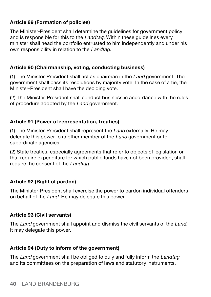#### **Article 89 (Formation of policies)**

The Minister-President shall determine the guidelines for government policy and is responsible for this to the *Landtag*. Within these guidelines every minister shall head the portfolio entrusted to him independently and under his own responsibility in relation to the Landtag.

#### **Article 90 (Chairmanship, voting, conducting business)**

(1) The Minister-President shall act as chairman in the Land government. The government shall pass its resolutions by majority vote. In the case of a tie, the Minister-President shall have the deciding vote.

(2) The Minister-President shall conduct business in accordance with the rules of procedure adopted by the Land government.

#### **Article 91 (Power of representation, treaties)**

(1) The Minister-President shall represent the Land externally. He may delegate this power to another member of the Land government or to subordinate agencies.

(2) State treaties, especially agreements that refer to objects of legislation or that require expenditure for which public funds have not been provided, shall require the consent of the Landtag.

#### **Article 92 (Right of pardon)**

The Minister-President shall exercise the power to pardon individual offenders on behalf of the Land. He may delegate this power.

#### **Article 93 (Civil servants)**

The Land government shall appoint and dismiss the civil servants of the Land. It may delegate this power.

#### **Article 94 (Duty to inform of the government)**

The Land government shall be obliged to duly and fully inform the Landtag and its committees on the preparation of laws and statutory instruments,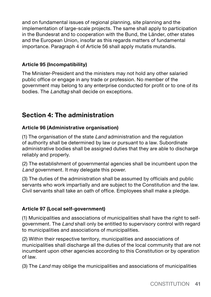and on fundamental issues of regional planning, site planning and the implementation of large-scale projects. The same shall apply to participation in the Bundesrat and to cooperation with the Bund, the Länder, other states and the European Union, insofar as this regards matters of fundamental importance. Paragraph 4 of Article 56 shall apply mutatis mutandis.

#### **Article 95 (Incompatibility)**

The Minister-President and the ministers may not hold any other salaried public office or engage in any trade or profession. No member of the government may belong to any enterprise conducted for profit or to one of its bodies. The Landtag shall decide on exceptions.

# **Section 4: The administration**

#### **Article 96 (Administrative organisation)**

(1) The organisation of the state Land administration and the regulation of authority shall be determined by law or pursuant to a law. Subordinate administrative bodies shall be assigned duties that they are able to discharge reliably and properly.

(2) The establishment of governmental agencies shall be incumbent upon the Land government. It may delegate this power.

(3) The duties of the administration shall be assumed by officials and public servants who work impartially and are subject to the Constitution and the law. Civil servants shall take an oath of office. Employees shall make a pledge.

#### **Article 97 (Local self-government)**

(1) Municipalities and associations of municipalities shall have the right to selfgovernment. The Land shall only be entitled to supervisory control with regard to municipalities and associations of municipalities.

(2) Within their respective territory, municipalities and associations of municipalities shall discharge all the duties of the local community that are not incumbent upon other agencies according to this Constitution or by operation of law.

(3) The Land may oblige the municipalities and associations of municipalities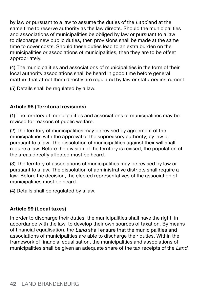by law or pursuant to a law to assume the duties of the Land and at the same time to reserve authority as the law directs. Should the municipalities and associations of municipalities be obliged by law or pursuant to a law to discharge new public duties, then provisions shall be made at the same time to cover costs. Should these duties lead to an extra burden on the municipalities or associations of municipalities, then they are to be offset appropriately.

(4) The municipalities and associations of municipalities in the form of their local authority associations shall be heard in good time before general matters that affect them directly are regulated by law or statutory instrument.

(5) Details shall be regulated by a law.

#### **Article 98 (Territorial revisions)**

(1) The territory of municipalities and associations of municipalities may be revised for reasons of public welfare.

(2) The territory of municipalities may be revised by agreement of the municipalities with the approval of the supervisory authority, by law or pursuant to a law. The dissolution of municipalities against their will shall require a law. Before the division of the territory is revised, the population of the areas directly affected must be heard.

(3) The territory of associations of municipalities may be revised by law or pursuant to a law. The dissolution of administrative districts shall require a law. Before the decision, the elected representatives of the association of municipalities must be heard.

(4) Details shall be regulated by a law.

#### **Article 99 (Local taxes)**

In order to discharge their duties, the municipalities shall have the right, in accordance with the law, to develop their own sources of taxation. By means of financial equalisation, the Land shall ensure that the municipalities and associations of municipalities are able to discharge their duties. Within the framework of financial equalisation, the municipalities and associations of municipalities shall be given an adequate share of the tax receipts of the Land.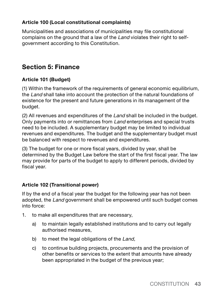#### **Article 100 (Local constitutional complaints)**

Municipalities and associations of municipalities may file constitutional complains on the ground that a law of the Land violates their right to selfgovernment according to this Constitution.

# **Section 5: Finance**

#### **Article 101 (Budget)**

(1) Within the framework of the requirements of general economic equilibrium, the *Land* shall take into account the protection of the natural foundations of existence for the present and future generations in its management of the budget.

(2) All revenues and expenditures of the Land shall be included in the budget. Only payments into or remittances from Land enterprises and special trusts need to be included. A supplementary budget may be limited to individual revenues and expenditures. The budget and the supplementary budget must be balanced with respect to revenues and expenditures.

(3) The budget for one or more fiscal years, divided by year, shall be determined by the Budget Law before the start of the first fiscal year. The law may provide for parts of the budget to apply to different periods, divided by fiscal year.

#### **Article 102 (Transitional power)**

If by the end of a fiscal year the budget for the following year has not been adopted, the Land government shall be empowered until such budget comes into force:

- 1. to make all expenditures that are necessary,
	- a) to maintain legally established institutions and to carry out legally authorised measures,
	- b) to meet the legal obligations of the Land,
	- c) to continue building projects, procurements and the provision of other benefits or services to the extent that amounts have already been appropriated in the budget of the previous year;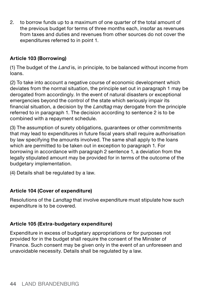2. to borrow funds up to a maximum of one quarter of the total amount of the previous budget for terms of three months each, insofar as revenues from taxes and duties and revenues from other sources do not cover the expenditures referred to in point 1.

#### **Article 103 (Borrowing)**

(1) The budget of the Land is, in principle, to be balanced without income from loans.

(2) To take into account a negative course of economic development which deviates from the normal situation, the principle set out in paragraph 1 may be derogated from accordingly. In the event of natural disasters or exceptional emergencies beyond the control of the state which seriously impair its financial situation, a decision by the Landtag may derogate from the principle referred to in paragraph 1. The decision according to sentence 2 is to be combined with a repayment schedule.

(3) The assumption of surety obligations, guarantees or other commitments that may lead to expenditures in future fiscal years shall require authorisation by law specifying the amounts involved. The same shall apply to the loans which are permitted to be taken out in exception to paragraph 1. For borrowing in accordance with paragraph 2 sentence 1, a deviation from the legally stipulated amount may be provided for in terms of the outcome of the budgetary implementation.

(4) Details shall be regulated by a law.

#### **Article 104 (Cover of expenditure)**

Resolutions of the *Landtag* that involve expenditure must stipulate how such expenditure is to be covered.

#### **Article 105 (Extra-budgetary expenditure)**

Expenditure in excess of budgetary appropriations or for purposes not provided for in the budget shall require the consent of the Minister of Finance. Such consent may be given only in the event of an unforeseen and unavoidable necessity. Details shall be regulated by a law.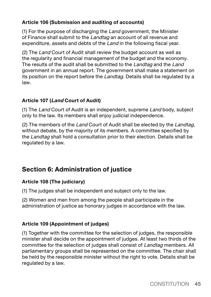#### **Article 106 (Submission and auditing of accounts)**

(1) For the purpose of discharging the Land government, the Minister of Finance shall submit to the Landtag an account of all revenue and expenditure, assets and debts of the Land in the following fiscal year.

(2) The Land Court of Audit shall review the budget account as well as the regularity and financial management of the budget and the economy. The results of the audit shall be submitted to the Landtag and the Land government in an annual report. The government shall make a statement on its position on the report before the *Landtag*. Details shall be regulated by a law.

#### **Article 107 (Land Court of Audit)**

(1) The Land Court of Audit is an independent, supreme Land body, subject only to the law. Its members shall enjoy judicial independence.

(2) The members of the Land Court of Audit shall be elected by the Landtag, without debate, by the majority of its members. A committee specified by the Landtag shall hold a consultation prior to their election. Details shall be regulated by a law.

# **Section 6: Administration of justice**

#### **Article 108 (The judiciary)**

(1) The judges shall be independent and subject only to the law.

(2) Women and men from among the people shall participate in the administration of justice as honorary judges in accordance with the law.

#### **Article 109 (Appointment of judges)**

(1) Together with the committee for the selection of judges, the responsible minister shall decide on the appointment of judges. At least two thirds of the committee for the selection of judges shall consist of Landtag members. All parliamentary groups shall be represented on the committee. The chair shall be held by the responsible minister without the right to vote. Details shall be regulated by a law.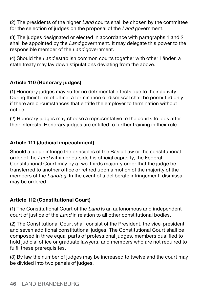(2) The presidents of the higher  $L$  and courts shall be chosen by the committee for the selection of judges on the proposal of the Land government.

(3) The judges designated or elected in accordance with paragraphs 1 and 2 shall be appointed by the *Land* government. It may delegate this power to the responsible member of the Land government.

(4) Should the Land establish common courts together with other Länder, a state treaty may lay down stipulations deviating from the above.

#### **Article 110 (Honorary judges)**

(1) Honorary judges may suffer no detrimental effects due to their activity. During their term of office, a termination or dismissal shall be permitted only if there are circumstances that entitle the employer to termination without notice.

(2) Honorary judges may choose a representative to the courts to look after their interests. Honorary judges are entitled to further training in their role.

#### **Article 111 (Judicial impeachment)**

Should a judge infringe the principles of the Basic Law or the constitutional order of the Land within or outside his official capacity, the Federal Constitutional Court may by a two-thirds majority order that the judge be transferred to another office or retired upon a motion of the majority of the members of the *Landtag*. In the event of a deliberate infringement, dismissal may be ordered.

#### **Article 112 (Constitutional Court)**

(1) The Constitutional Court of the Land is an autonomous and independent court of justice of the *Land* in relation to all other constitutional bodies.

(2) The Constitutional Court shall consist of the President, the vice-president and seven additional constitutional judges. The Constitutional Court shall be composed in three equal parts of professional judges, members qualified to hold judicial office or graduate lawyers, and members who are not required to fulfil these prerequisites.

(3) By law the number of judges may be increased to twelve and the court may be divided into two panels of judges.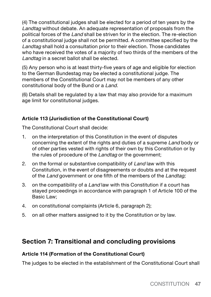(4) The constitutional judges shall be elected for a period of ten years by the Landtag without debate. An adequate representation of proposals from the political forces of the Land shall be striven for in the election. The re-election of a constitutional judge shall not be permitted. A committee specified by the Landtag shall hold a consultation prior to their election. Those candidates who have received the votes of a majority of two thirds of the members of the Landtag in a secret ballot shall be elected.

(5) Any person who is at least thirty-five years of age and eligible for election to the German Bundestag may be elected a constitutional judge. The members of the Constitutional Court may not be members of any other constitutional body of the Bund or a Land.

(6) Details shall be regulated by a law that may also provide for a maximum age limit for constitutional judges.

#### **Article 113 (Jurisdiction of the Constitutional Court)**

The Constitutional Court shall decide:

- 1. on the interpretation of this Constitution in the event of disputes concerning the extent of the rights and duties of a supreme Land body or of other parties vested with rights of their own by this Constitution or by the rules of procedure of the Landtag or the government:
- 2. on the formal or substantive compatibility of Land law with this Constitution, in the event of disagreements or doubts and at the request of the Land government or one fifth of the members of the Landtag:
- 3. on the compatibility of a *Land* law with this Constitution if a court has stayed proceedings in accordance with paragraph 1 of Article 100 of the Basic Law;
- 4. on constitutional complaints (Article 6, paragraph 2);
- 5. on all other matters assigned to it by the Constitution or by law.

## **Section 7: Transitional and concluding provisions**

#### **Article 114 (Formation of the Constitutional Court)**

The judges to be elected in the establishment of the Constitutional Court shall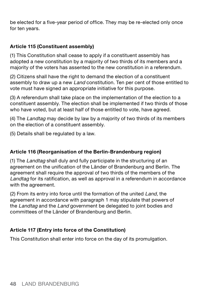be elected for a five-year period of office. They may be re-elected only once for ten years.

#### **Article 115 (Constituent assembly)**

(1) This Constitution shall cease to apply if a constituent assembly has adopted a new constitution by a majority of two thirds of its members and a majority of the voters has assented to the new constitution in a referendum.

(2) Citizens shall have the right to demand the election of a constituent assembly to draw up a new Land constitution. Ten per cent of those entitled to vote must have signed an appropriate initiative for this purpose.

(3) A referendum shall take place on the implementation of the election to a constituent assembly. The election shall be implemented if two thirds of those who have voted, but at least half of those entitled to vote, have agreed.

(4) The Landtag may decide by law by a majority of two thirds of its members on the election of a constituent assembly.

(5) Details shall be regulated by a law.

#### **Article 116 (Reorganisation of the Berlin-Brandenburg region)**

(1) The Landtag shall duly and fully participate in the structuring of an agreement on the unification of the Länder of Brandenburg and Berlin. The agreement shall require the approval of two thirds of the members of the Landtag for its ratification, as well as approval in a referendum in accordance with the agreement.

(2) From its entry into force until the formation of the united Land, the agreement in accordance with paragraph 1 may stipulate that powers of the Landtag and the Land government be delegated to joint bodies and committees of the Länder of Brandenburg and Berlin.

#### **Article 117 (Entry into force of the Constitution)**

This Constitution shall enter into force on the day of its promulgation.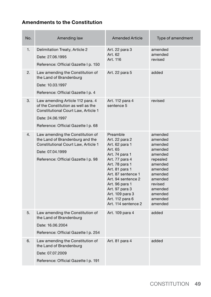#### **Amendments to the Constitution**

| No. | Amending law                                                                                                                                                             | <b>Amended Article</b>                                                                                                                                                                                                                                                       | Type of amendment                                                                                                                                                  |
|-----|--------------------------------------------------------------------------------------------------------------------------------------------------------------------------|------------------------------------------------------------------------------------------------------------------------------------------------------------------------------------------------------------------------------------------------------------------------------|--------------------------------------------------------------------------------------------------------------------------------------------------------------------|
| 1.  | Delimitation Treaty, Article 2<br>Date: 27.06.1995<br>Reference: Official Gazette I p. 150                                                                               | Art. 22 para 3<br>Art. 62<br>Art. 116                                                                                                                                                                                                                                        | amended<br>amended<br>heziver                                                                                                                                      |
| 2.  | Law amending the Constitution of<br>the Land of Brandenburg<br>Date: 10.03.1997<br>Reference: Official Gazette I p. 4                                                    | Art. 22 para 5                                                                                                                                                                                                                                                               | added                                                                                                                                                              |
| 3.  | Law amending Article 112 para. 4<br>of the Constitution as well as the<br>Constitutional Court Law. Article 1<br>Date: 24.06.1997<br>Reference: Official Gazette I p. 68 | Art. 112 para 4<br>sentence 5                                                                                                                                                                                                                                                | revised                                                                                                                                                            |
| 4.  | Law amending the Constitution of<br>the Land of Brandenburg and the<br>Constitutional Court Law. Article 1<br>Date: 07.04.1999<br>Reference: Official Gazette I p. 98    | Preamble<br>Art. 22 para 2<br>Art. 62 para 1<br>Art. 65<br>Art. 74 para 1<br>Art. 77 para 4<br>Art. 78 para 1<br>Art. 81 para 1<br>Art. 87 sentence 1<br>Art. 94 sentence 2<br>Art. 96 para 1<br>Art. 97 para 3<br>Art. 109 para 3<br>Art. 112 para 6<br>Art. 114 sentence 2 | amended<br>amended<br>amended<br>amended<br>amended<br>repealed<br>amended<br>amended<br>amended<br>amended<br>revised<br>amended<br>amended<br>amended<br>amended |
| 5.  | Law amending the Constitution of<br>the Land of Brandenburg<br>Date: 16.06.2004<br>Reference: Official Gazette I p. 254                                                  | Art. 109 para 4                                                                                                                                                                                                                                                              | added                                                                                                                                                              |
| 6.  | Law amending the Constitution of<br>the Land of Brandenburg<br>Date: 07.07.2009<br>Reference: Official Gazette I p. 191                                                  | Art. 81 para 4                                                                                                                                                                                                                                                               | added                                                                                                                                                              |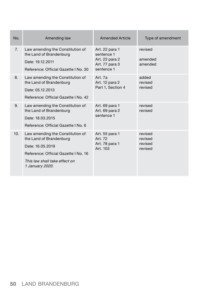| No. | Amending law                                                                                                                                                                | <b>Amended Article</b>                                                         | Type of amendment                        |
|-----|-----------------------------------------------------------------------------------------------------------------------------------------------------------------------------|--------------------------------------------------------------------------------|------------------------------------------|
| 7.  | Law amending the Constitution of<br>the Land of Brandenburg<br>Date: 19.12.2011<br>Reference: Official Gazette I No. 30                                                     | Art. 22 para 1<br>sentence 1<br>Art. 22 para 2<br>Art. 77 para 3<br>sentence 1 | revised<br>amended<br>amended            |
| 8.  | Law amending the Constitution of<br>the Land of Brandenburg<br>Date: 05.12.2013<br>Reference: Official Gazette I No. 42                                                     | Art. 7a<br>Art. 12 para 2<br>Part 1, Section 4                                 | added<br>revised<br>revised              |
| 9.  | Law amending the Constitution of<br>the Land of Brandenburg<br>Date: 18.03.2015<br>Reference: Official Gazette I No. 6                                                      | Art. 69 para 1<br>Art. 69 para 2<br>sentence 1                                 | revised<br>revised                       |
| 10. | Law amending the Constitution of<br>the Land of Brandenburg<br>Date: 16.05.2019<br>Reference: Official Gazette I No. 16<br>This law shall take effect on<br>1 January 2020. | Art. 55 para 1<br>Art. 72<br>Art. 78 para 1<br>Art. 103                        | revised<br>revised<br>revised<br>revised |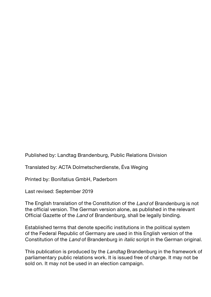Published by: Landtag Brandenburg, Public Relations Division

Translated by: ACTA Dolmetscherdienste, Éva Weging

Printed by: Bonifatius GmbH, Paderborn

Last revised: September 2019

The English translation of the Constitution of the Land of Brandenburg is not the official version. The German version alone, as published in the relevant Official Gazette of the Land of Brandenburg, shall be legally binding.

Established terms that denote specific institutions in the political system of the Federal Republic of Germany are used in this English version of the Constitution of the Land of Brandenburg in italic script in the German original.

This publication is produced by the Landtag Brandenburg in the framework of parliamentary public relations work. It is issued free of charge. It may not be sold on. It may not be used in an election campaign.